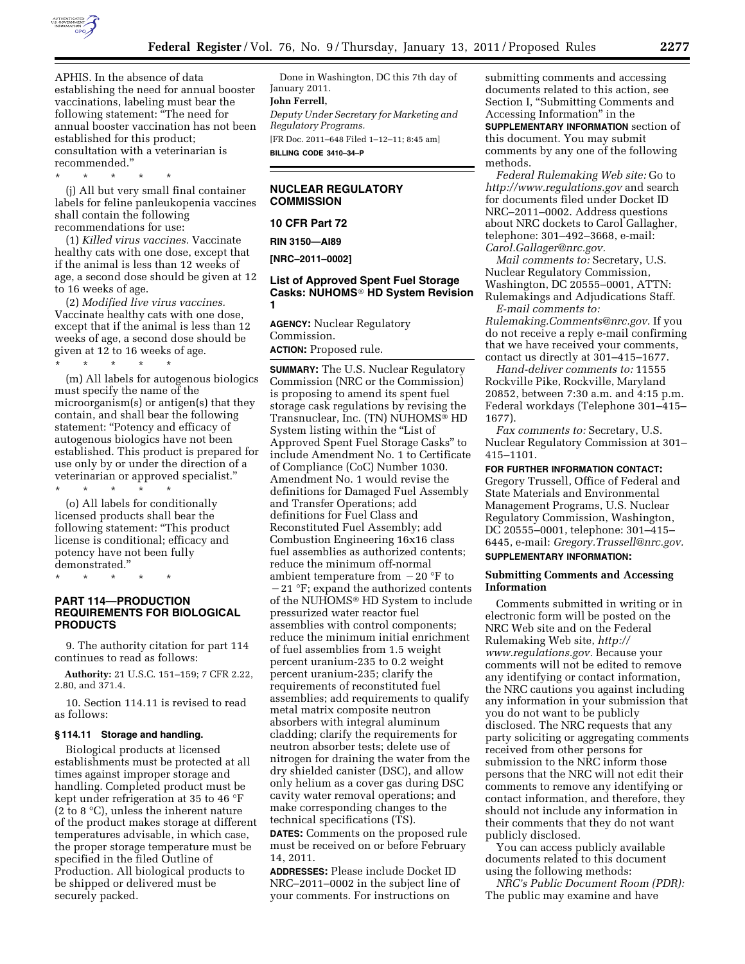

APHIS. In the absence of data establishing the need for annual booster vaccinations, labeling must bear the following statement: ''The need for annual booster vaccination has not been established for this product; consultation with a veterinarian is recommended.''

\* \* \* \* \*

(j) All but very small final container labels for feline panleukopenia vaccines shall contain the following recommendations for use:

(1) *Killed virus vaccines.* Vaccinate healthy cats with one dose, except that if the animal is less than 12 weeks of age, a second dose should be given at 12 to 16 weeks of age.

(2) *Modified live virus vaccines.*  Vaccinate healthy cats with one dose, except that if the animal is less than 12 weeks of age, a second dose should be given at 12 to 16 weeks of age. \* \* \* \* \*

(m) All labels for autogenous biologics must specify the name of the microorganism(s) or antigen(s) that they contain, and shall bear the following statement: ''Potency and efficacy of autogenous biologics have not been established. This product is prepared for use only by or under the direction of a veterinarian or approved specialist.''

\* \* \* \* \* (o) All labels for conditionally licensed products shall bear the following statement: ''This product license is conditional; efficacy and potency have not been fully demonstrated.''

\* \* \* \* \*

# **PART 114—PRODUCTION REQUIREMENTS FOR BIOLOGICAL PRODUCTS**

9. The authority citation for part 114 continues to read as follows:

**Authority:** 21 U.S.C. 151–159; 7 CFR 2.22, 2.80, and 371.4.

10. Section 114.11 is revised to read as follows:

#### **§ 114.11 Storage and handling.**

Biological products at licensed establishments must be protected at all times against improper storage and handling. Completed product must be kept under refrigeration at 35 to 46 °F (2 to 8 °C), unless the inherent nature of the product makes storage at different temperatures advisable, in which case, the proper storage temperature must be specified in the filed Outline of Production. All biological products to be shipped or delivered must be securely packed.

Done in Washington, DC this 7th day of January 2011.

## **John Ferrell,**

*Deputy Under Secretary for Marketing and Regulatory Programs.* 

[FR Doc. 2011–648 Filed 1–12–11; 8:45 am] **BILLING CODE 3410–34–P** 

### **NUCLEAR REGULATORY COMMISSION**

**10 CFR Part 72** 

**RIN 3150—AI89** 

**[NRC–2011–0002]** 

### **List of Approved Spent Fuel Storage Casks: NUHOMS**® **HD System Revision 1**

**AGENCY:** Nuclear Regulatory Commission. **ACTION:** Proposed rule.

**SUMMARY:** The U.S. Nuclear Regulatory Commission (NRC or the Commission) is proposing to amend its spent fuel storage cask regulations by revising the Transnuclear, Inc. (TN) NUHOMS® HD System listing within the ''List of Approved Spent Fuel Storage Casks'' to include Amendment No. 1 to Certificate of Compliance (CoC) Number 1030. Amendment No. 1 would revise the definitions for Damaged Fuel Assembly and Transfer Operations; add definitions for Fuel Class and Reconstituted Fuel Assembly; add Combustion Engineering 16x16 class fuel assemblies as authorized contents; reduce the minimum off-normal ambient temperature from  $-20$  °F to  $-21$  °F; expand the authorized contents of the NUHOMS® HD System to include pressurized water reactor fuel assemblies with control components; reduce the minimum initial enrichment of fuel assemblies from 1.5 weight percent uranium-235 to 0.2 weight percent uranium-235; clarify the requirements of reconstituted fuel assemblies; add requirements to qualify metal matrix composite neutron absorbers with integral aluminum cladding; clarify the requirements for neutron absorber tests; delete use of nitrogen for draining the water from the dry shielded canister (DSC), and allow only helium as a cover gas during DSC cavity water removal operations; and make corresponding changes to the technical specifications (TS).

**DATES:** Comments on the proposed rule must be received on or before February 14, 2011.

**ADDRESSES:** Please include Docket ID NRC–2011–0002 in the subject line of your comments. For instructions on

submitting comments and accessing documents related to this action, see Section I, ''Submitting Comments and Accessing Information'' in the **SUPPLEMENTARY INFORMATION** section of this document. You may submit comments by any one of the following methods.

*Federal Rulemaking Web site:* Go to *<http://www.regulations.gov>* and search for documents filed under Docket ID NRC–2011–0002. Address questions about NRC dockets to Carol Gallagher, telephone: 301–492–3668, e-mail: *[Carol.Gallager@nrc.gov.](mailto:Carol.Gallager@nrc.gov)* 

*Mail comments to:* Secretary, U.S. Nuclear Regulatory Commission, Washington, DC 20555–0001, ATTN: Rulemakings and Adjudications Staff.

*E-mail comments to: [Rulemaking.Comments@nrc.gov.](mailto:Rulemaking.Comments@nrc.gov)* If you do not receive a reply e-mail confirming that we have received your comments, contact us directly at 301–415–1677.

*Hand-deliver comments to:* 11555 Rockville Pike, Rockville, Maryland 20852, between 7:30 a.m. and 4:15 p.m. Federal workdays (Telephone 301–415– 1677).

*Fax comments to:* Secretary, U.S. Nuclear Regulatory Commission at 301– 415–1101.

**FOR FURTHER INFORMATION CONTACT:**  Gregory Trussell, Office of Federal and State Materials and Environmental Management Programs, U.S. Nuclear Regulatory Commission, Washington, DC 20555–0001, telephone: 301–415– 6445, e-mail: *[Gregory.Trussell@nrc.gov.](mailto:Gregory.Trussell@nrc.gov)* 

# **SUPPLEMENTARY INFORMATION:**

### **Submitting Comments and Accessing Information**

Comments submitted in writing or in electronic form will be posted on the NRC Web site and on the Federal Rulemaking Web site, *[http://](http://www.regulations.gov)  [www.regulations.gov.](http://www.regulations.gov)* Because your comments will not be edited to remove any identifying or contact information, the NRC cautions you against including any information in your submission that you do not want to be publicly disclosed. The NRC requests that any party soliciting or aggregating comments received from other persons for submission to the NRC inform those persons that the NRC will not edit their comments to remove any identifying or contact information, and therefore, they should not include any information in their comments that they do not want publicly disclosed.

You can access publicly available documents related to this document using the following methods:

*NRC's Public Document Room (PDR):*  The public may examine and have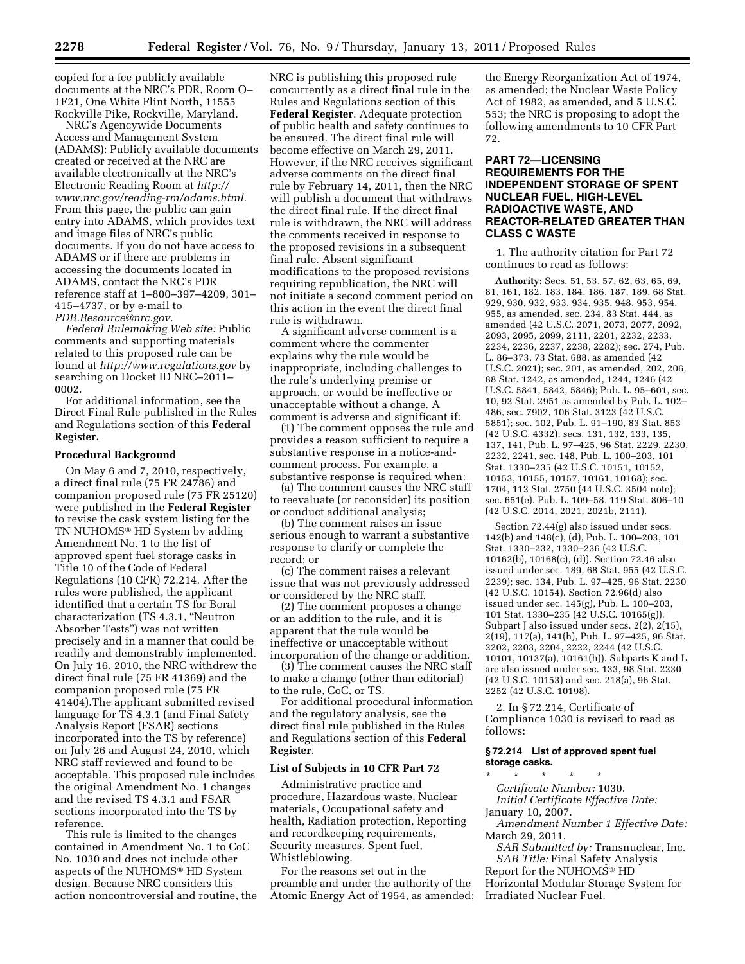copied for a fee publicly available documents at the NRC's PDR, Room O– 1F21, One White Flint North, 11555 Rockville Pike, Rockville, Maryland.

NRC's Agencywide Documents Access and Management System (ADAMS): Publicly available documents created or received at the NRC are available electronically at the NRC's Electronic Reading Room at *[http://](http://www.nrc.gov/reading-rm/adams.html) [www.nrc.gov/reading-rm/adams.html.](http://www.nrc.gov/reading-rm/adams.html)*  From this page, the public can gain entry into ADAMS, which provides text and image files of NRC's public documents. If you do not have access to ADAMS or if there are problems in accessing the documents located in ADAMS, contact the NRC's PDR reference staff at 1–800–397–4209, 301– 415–4737, or by e-mail to *[PDR.Resource@nrc.gov.](mailto:PDR.Resource@nrc.gov)* 

*Federal Rulemaking Web site:* Public comments and supporting materials related to this proposed rule can be found at *<http://www.regulations.gov>* by searching on Docket ID NRC–2011– 0002.

For additional information, see the Direct Final Rule published in the Rules and Regulations section of this **Federal Register.** 

#### **Procedural Background**

On May 6 and 7, 2010, respectively, a direct final rule (75 FR 24786) and companion proposed rule (75 FR 25120) were published in the **Federal Register**  to revise the cask system listing for the TN NUHOMS® HD System by adding Amendment No. 1 to the list of approved spent fuel storage casks in Title 10 of the Code of Federal Regulations (10 CFR) 72.214. After the rules were published, the applicant identified that a certain TS for Boral characterization (TS 4.3.1, ''Neutron Absorber Tests'') was not written precisely and in a manner that could be readily and demonstrably implemented. On July 16, 2010, the NRC withdrew the direct final rule (75 FR 41369) and the companion proposed rule (75 FR 41404).The applicant submitted revised language for TS 4.3.1 (and Final Safety Analysis Report (FSAR) sections incorporated into the TS by reference) on July 26 and August 24, 2010, which NRC staff reviewed and found to be acceptable. This proposed rule includes the original Amendment No. 1 changes and the revised TS 4.3.1 and FSAR sections incorporated into the TS by reference.

This rule is limited to the changes contained in Amendment No. 1 to CoC No. 1030 and does not include other aspects of the NUHOMS® HD System design. Because NRC considers this action noncontroversial and routine, the

NRC is publishing this proposed rule concurrently as a direct final rule in the Rules and Regulations section of this **Federal Register**. Adequate protection of public health and safety continues to be ensured. The direct final rule will become effective on March 29, 2011. However, if the NRC receives significant adverse comments on the direct final rule by February 14, 2011, then the NRC will publish a document that withdraws the direct final rule. If the direct final rule is withdrawn, the NRC will address the comments received in response to the proposed revisions in a subsequent final rule. Absent significant modifications to the proposed revisions requiring republication, the NRC will not initiate a second comment period on this action in the event the direct final rule is withdrawn.

A significant adverse comment is a comment where the commenter explains why the rule would be inappropriate, including challenges to the rule's underlying premise or approach, or would be ineffective or unacceptable without a change. A comment is adverse and significant if:

(1) The comment opposes the rule and provides a reason sufficient to require a substantive response in a notice-andcomment process. For example, a substantive response is required when:

(a) The comment causes the NRC staff to reevaluate (or reconsider) its position or conduct additional analysis;

(b) The comment raises an issue serious enough to warrant a substantive response to clarify or complete the record; or

(c) The comment raises a relevant issue that was not previously addressed or considered by the NRC staff.

(2) The comment proposes a change or an addition to the rule, and it is apparent that the rule would be ineffective or unacceptable without incorporation of the change or addition.

(3) The comment causes the NRC staff to make a change (other than editorial) to the rule, CoC, or TS.

For additional procedural information and the regulatory analysis, see the direct final rule published in the Rules and Regulations section of this **Federal Register**.

### **List of Subjects in 10 CFR Part 72**

Administrative practice and procedure, Hazardous waste, Nuclear materials, Occupational safety and health, Radiation protection, Reporting and recordkeeping requirements, Security measures, Spent fuel, Whistleblowing.

For the reasons set out in the preamble and under the authority of the Atomic Energy Act of 1954, as amended;

the Energy Reorganization Act of 1974, as amended; the Nuclear Waste Policy Act of 1982, as amended, and 5 U.S.C. 553; the NRC is proposing to adopt the following amendments to 10 CFR Part 72.

### **PART 72—LICENSING REQUIREMENTS FOR THE INDEPENDENT STORAGE OF SPENT NUCLEAR FUEL, HIGH-LEVEL RADIOACTIVE WASTE, AND REACTOR-RELATED GREATER THAN CLASS C WASTE**

1. The authority citation for Part 72 continues to read as follows:

**Authority:** Secs. 51, 53, 57, 62, 63, 65, 69, 81, 161, 182, 183, 184, 186, 187, 189, 68 Stat. 929, 930, 932, 933, 934, 935, 948, 953, 954, 955, as amended, sec. 234, 83 Stat. 444, as amended (42 U.S.C. 2071, 2073, 2077, 2092, 2093, 2095, 2099, 2111, 2201, 2232, 2233, 2234, 2236, 2237, 2238, 2282); sec. 274, Pub. L. 86–373, 73 Stat. 688, as amended (42 U.S.C. 2021); sec. 201, as amended, 202, 206, 88 Stat. 1242, as amended, 1244, 1246 (42 U.S.C. 5841, 5842, 5846); Pub. L. 95–601, sec. 10, 92 Stat. 2951 as amended by Pub. L. 102– 486, sec. 7902, 106 Stat. 3123 (42 U.S.C. 5851); sec. 102, Pub. L. 91–190, 83 Stat. 853 (42 U.S.C. 4332); secs. 131, 132, 133, 135, 137, 141, Pub. L. 97–425, 96 Stat. 2229, 2230, 2232, 2241, sec. 148, Pub. L. 100–203, 101 Stat. 1330–235 (42 U.S.C. 10151, 10152, 10153, 10155, 10157, 10161, 10168); sec. 1704, 112 Stat. 2750 (44 U.S.C. 3504 note); sec. 651(e), Pub. L. 109–58, 119 Stat. 806–10 (42 U.S.C. 2014, 2021, 2021b, 2111).

Section 72.44(g) also issued under secs. 142(b) and 148(c), (d), Pub. L. 100–203, 101 Stat. 1330–232, 1330–236 (42 U.S.C. 10162(b), 10168(c), (d)). Section 72.46 also issued under sec. 189, 68 Stat. 955 (42 U.S.C. 2239); sec. 134, Pub. L. 97–425, 96 Stat. 2230 (42 U.S.C. 10154). Section 72.96(d) also issued under sec. 145(g), Pub. L. 100–203, 101 Stat. 1330–235 (42 U.S.C. 10165(g)). Subpart J also issued under secs. 2(2), 2(15), 2(19), 117(a), 141(h), Pub. L. 97–425, 96 Stat. 2202, 2203, 2204, 2222, 2244 (42 U.S.C. 10101, 10137(a), 10161(h)). Subparts K and L are also issued under sec. 133, 98 Stat. 2230 (42 U.S.C. 10153) and sec. 218(a), 96 Stat. 2252 (42 U.S.C. 10198).

2. In § 72.214, Certificate of Compliance 1030 is revised to read as follows:

### **§ 72.214 List of approved spent fuel storage casks.**

\* \* \* \* \* *Certificate Number:* 1030. *Initial Certificate Effective Date:*  January 10, 2007.

*Amendment Number 1 Effective Date:*  March 29, 2011.

*SAR Submitted by:* Transnuclear, Inc. *SAR Title:* Final Safety Analysis Report for the NUHOMS® HD Horizontal Modular Storage System for Irradiated Nuclear Fuel.